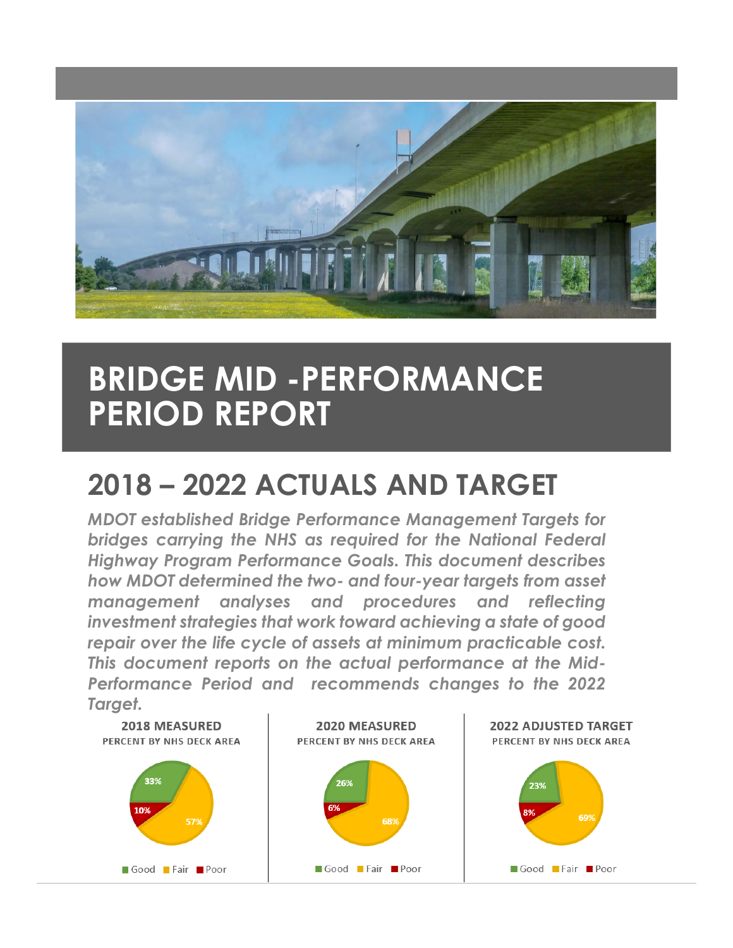

# **BRIDGE MID -PERFORMANCE PERIOD REPORT**

# **2018 – 2022 ACTUALS AND TARGET**

*MDOT established Bridge Performance Management Targets for bridges carrying the NHS as required for the National Federal Highway Program Performance Goals. This document describes how MDOT determined the two- and four-year targets from asset management analyses and procedures and reflecting investment strategies that work toward achieving a state of good repair over the life cycle of assets at minimum practicable cost. This document reports on the actual performance at the Mid-Performance Period and recommends changes to the 2022 Target.*

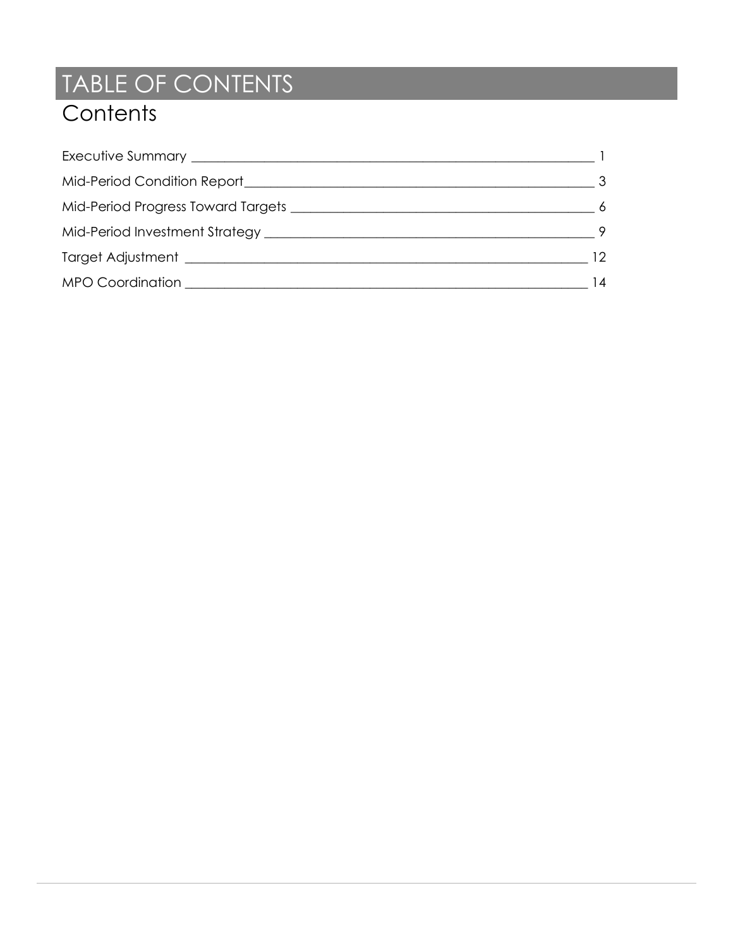# TABLE OF CONTENTS **Contents**

| -6 |
|----|
|    |
| 12 |
| 14 |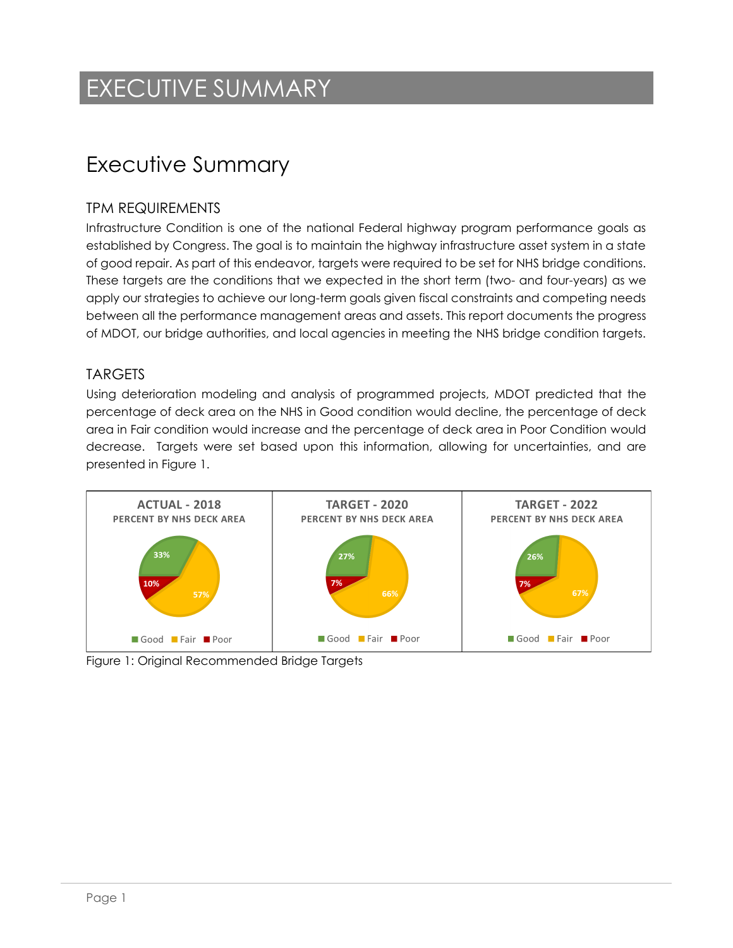## EXECUTIVE SUMMARY

### <span id="page-2-0"></span>Executive Summary

#### TPM REQUIREMENTS

Infrastructure Condition is one of the national Federal highway program performance goals as established by Congress. The goal is to maintain the highway infrastructure asset system in a state of good repair. As part of this endeavor, targets were required to be set for NHS bridge conditions. These targets are the conditions that we expected in the short term (two- and four-years) as we apply our strategies to achieve our long-term goals given fiscal constraints and competing needs between all the performance management areas and assets. This report documents the progress of MDOT, our bridge authorities, and local agencies in meeting the NHS bridge condition targets.

#### **TARGETS**

Using deterioration modeling and analysis of programmed projects, MDOT predicted that the percentage of deck area on the NHS in Good condition would decline, the percentage of deck area in Fair condition would increase and the percentage of deck area in Poor Condition would decrease. Targets were set based upon this information, allowing for uncertainties, and are presented in Figure 1.



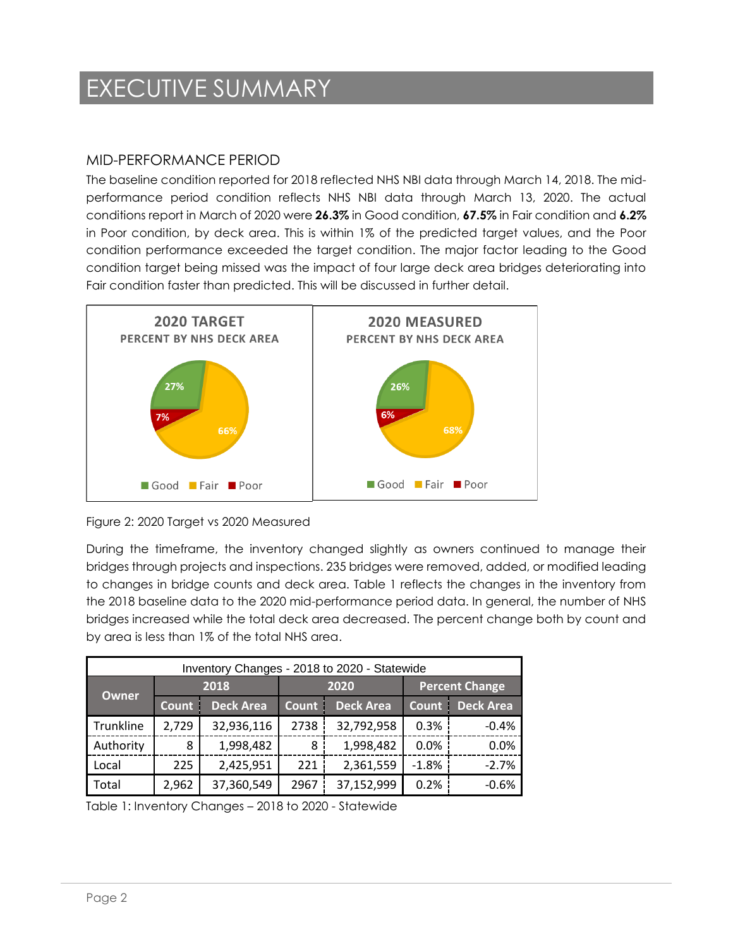## EXECUTIVE SUMMARY

#### MID-PERFORMANCE PERIOD

The baseline condition reported for 2018 reflected NHS NBI data through March 14, 2018. The midperformance period condition reflects NHS NBI data through March 13, 2020. The actual conditions report in March of 2020 were **26.3%** in Good condition, **67.5%** in Fair condition and **6.2%** in Poor condition, by deck area. This is within 1% of the predicted target values, and the Poor condition performance exceeded the target condition. The major factor leading to the Good condition target being missed was the impact of four large deck area bridges deteriorating into Fair condition faster than predicted. This will be discussed in further detail.





During the timeframe, the inventory changed slightly as owners continued to manage their bridges through projects and inspections. 235 bridges were removed, added, or modified leading to changes in bridge counts and deck area. Table 1 reflects the changes in the inventory from the 2018 baseline data to the 2020 mid-performance period data. In general, the number of NHS bridges increased while the total deck area decreased. The percent change both by count and by area is less than 1% of the total NHS area.

| Inventory Changes - 2018 to 2020 - Statewide |              |                  |              |                  |                       |                  |  |  |
|----------------------------------------------|--------------|------------------|--------------|------------------|-----------------------|------------------|--|--|
|                                              |              | 2018             |              | 2020             | <b>Percent Change</b> |                  |  |  |
| <b>Owner</b>                                 | <b>Count</b> | <b>Deck Area</b> | <b>Count</b> | <b>Deck Area</b> | <b>Count</b>          | <b>Deck Area</b> |  |  |
| Trunkline                                    | 2,729        | 32,936,116       | 2738         | 32,792,958       | 0.3%                  | $-0.4%$          |  |  |
| Authority                                    | 8            | 1,998,482        | 8            | 1,998,482        | 0.0%                  | 0.0%             |  |  |
| Local                                        | 225          | 2,425,951        | 221          | 2,361,559        | $-1.8%$               | $-2.7%$          |  |  |
| Total                                        | 2,962        | 37,360,549       | 2967         | 37,152,999       | 0.2%                  | $-0.6%$          |  |  |

Table 1: Inventory Changes – 2018 to 2020 - Statewide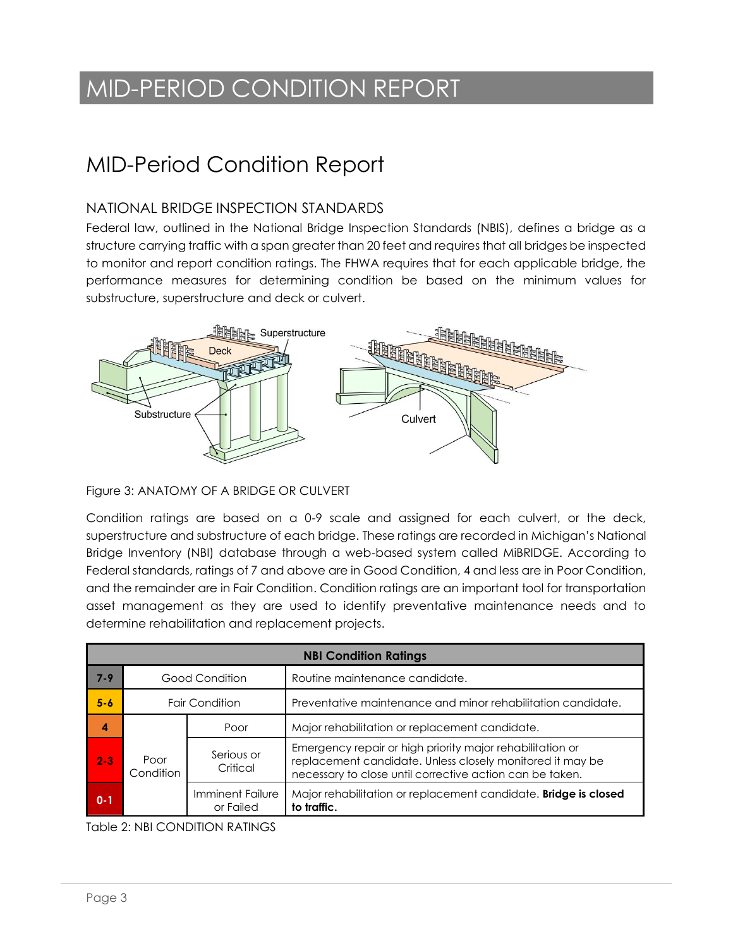# MID-PERIOD CONDITION REPORT

### MID-Period Condition Report

#### NATIONAL BRIDGE INSPECTION STANDARDS

Federal law, outlined in the National Bridge Inspection Standards (NBIS), defines a bridge as a structure carrying traffic with a span greater than 20 feet and requires that all bridges be inspected to monitor and report condition ratings. The FHWA requires that for each applicable bridge, the performance measures for determining condition be based on the minimum values for substructure, superstructure and deck or culvert.



#### Figure 3: ANATOMY OF A BRIDGE OR CULVERT

Condition ratings are based on a 0-9 scale and assigned for each culvert, or the deck, superstructure and substructure of each bridge. These ratings are recorded in Michigan's National Bridge Inventory (NBI) database through a web-based system called MiBRIDGE. According to Federal standards, ratings of 7 and above are in Good Condition, 4 and less are in Poor Condition, and the remainder are in Fair Condition. Condition ratings are an important tool for transportation asset management as they are used to identify preventative maintenance needs and to determine rehabilitation and replacement projects.

|         | <b>NBI Condition Ratings</b>                                                            |                       |                                                                                                                                                                                    |  |  |  |  |  |
|---------|-----------------------------------------------------------------------------------------|-----------------------|------------------------------------------------------------------------------------------------------------------------------------------------------------------------------------|--|--|--|--|--|
| $7 - 9$ |                                                                                         | Good Condition        | Routine maintenance candidate.                                                                                                                                                     |  |  |  |  |  |
| $5 - 6$ |                                                                                         | <b>Fair Condition</b> | Preventative maintenance and minor rehabilitation candidate.                                                                                                                       |  |  |  |  |  |
| 4       |                                                                                         | Poor                  | Major rehabilitation or replacement candidate.                                                                                                                                     |  |  |  |  |  |
| $2 - 3$ | Serious or<br>Poor<br>Critical<br>Condition<br>Imminent Failure<br>$0 - 1$<br>or Failed |                       | Emergency repair or high priority major rehabilitation or<br>replacement candidate. Unless closely monitored it may be<br>necessary to close until corrective action can be taken. |  |  |  |  |  |
|         |                                                                                         |                       | Major rehabilitation or replacement candidate. Bridge is closed<br>to traffic.                                                                                                     |  |  |  |  |  |

Table 2: NBI CONDITION RATINGS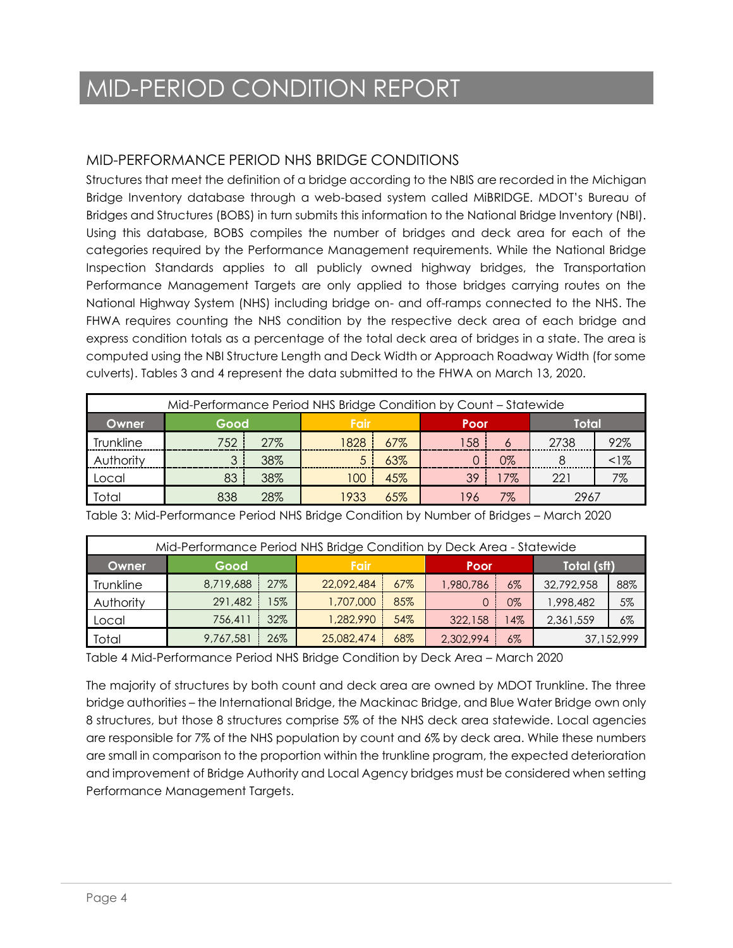# MID-PERIOD CONDITION REPORT

#### MID-PERFORMANCE PERIOD NHS BRIDGE CONDITIONS

Structures that meet the definition of a bridge according to the NBIS are recorded in the Michigan Bridge Inventory database through a web-based system called MiBRIDGE. MDOT's Bureau of Bridges and Structures (BOBS) in turn submits this information to the National Bridge Inventory (NBI). Using this database, BOBS compiles the number of bridges and deck area for each of the categories required by the Performance Management requirements. While the National Bridge Inspection Standards applies to all publicly owned highway bridges, the Transportation Performance Management Targets are only applied to those bridges carrying routes on the National Highway System (NHS) including bridge on- and off-ramps connected to the NHS. The FHWA requires counting the NHS condition by the respective deck area of each bridge and express condition totals as a percentage of the total deck area of bridges in a state. The area is computed using the NBI Structure Length and Deck Width or Approach Roadway Width (for some culverts). Tables 3 and 4 represent the data submitted to the FHWA on March 13, 2020.

| Mid-Performance Period NHS Bridge Condition by Count – Statewide |      |     |       |     |            |       |       |       |
|------------------------------------------------------------------|------|-----|-------|-----|------------|-------|-------|-------|
| Owner                                                            | Good |     | Fair  |     | Poor       |       | Total |       |
| Trunkline                                                        | 752  | 27% | 828   | 67% | 58         | 6     | 2738  | 92%   |
| Authority                                                        |      | 38% |       | 63% |            | $0\%$ |       | $1\%$ |
| Local                                                            | 83   | 38% | l 00  | 45% | 39         | 17%   | 221   | 7%    |
| Total                                                            | 838  | 28% | 193.2 | 65% | 7%<br>2967 |       |       |       |

Table 3: Mid-Performance Period NHS Bridge Condition by Number of Bridges – March 2020

| Mid-Performance Period NHS Bridge Condition by Deck Area - Statewide |              |     |            |     |           |       |             |       |  |
|----------------------------------------------------------------------|--------------|-----|------------|-----|-----------|-------|-------------|-------|--|
| Owner                                                                | Good<br>Fair |     |            |     | Poor      |       | Total (sft) |       |  |
| Trunkline                                                            | 8,719,688    | 27% | 22,092,484 | 67% | ,980,786  | $6\%$ | 32,792,958  | 88%   |  |
| Authority                                                            | 291,482      | 15% | 1,707,000  | 85% |           | 0%    | 1,998,482   | 5%    |  |
| Local                                                                | 756,411      | 32% | 1,282,990  | 54% | 322,158   | $4\%$ | 2,361,559   | $6\%$ |  |
| Total                                                                | 9,767,581    | 26% | 25,082,474 | 68% | 2,302,994 | $6\%$ | 37,152,999  |       |  |

Table 4 Mid-Performance Period NHS Bridge Condition by Deck Area – March 2020

The majority of structures by both count and deck area are owned by MDOT Trunkline. The three bridge authorities – the International Bridge, the Mackinac Bridge, and Blue Water Bridge own only 8 structures, but those 8 structures comprise 5% of the NHS deck area statewide. Local agencies are responsible for 7% of the NHS population by count and 6% by deck area. While these numbers are small in comparison to the proportion within the trunkline program, the expected deterioration and improvement of Bridge Authority and Local Agency bridges must be considered when setting Performance Management Targets.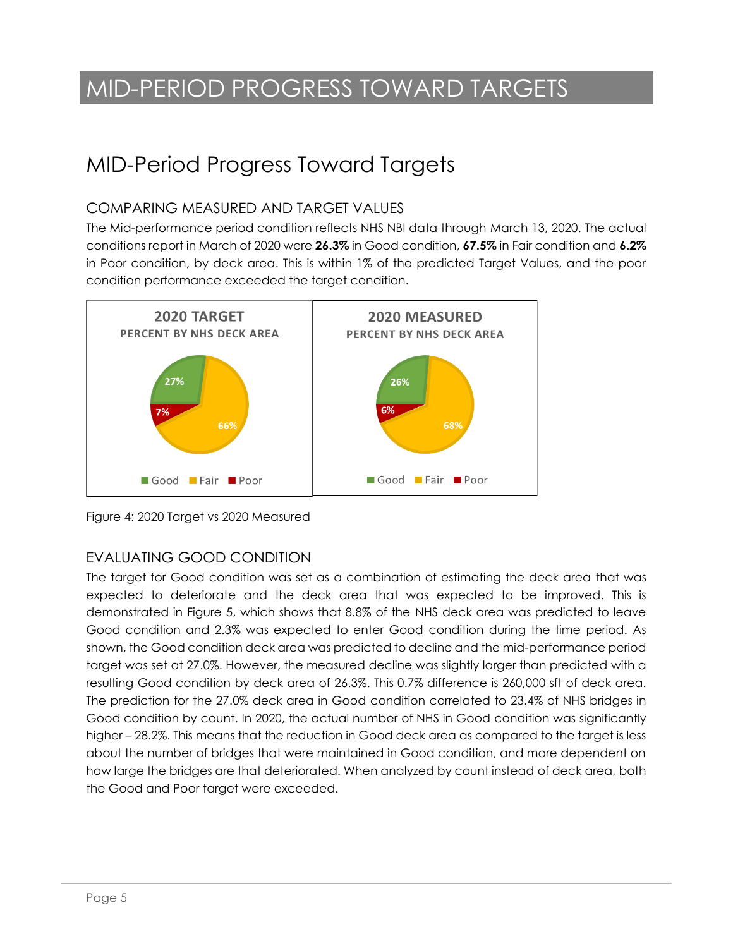# MID-PERIOD PROGRESS TOWARD TARGETS

### <span id="page-6-0"></span>MID-Period Progress Toward Targets

#### COMPARING MEASURED AND TARGET VALUES

The Mid-performance period condition reflects NHS NBI data through March 13, 2020. The actual conditions report in March of 2020 were **26.3%** in Good condition, **67.5%** in Fair condition and **6.2%** in Poor condition, by deck area. This is within 1% of the predicted Target Values, and the poor condition performance exceeded the target condition.



Figure 4: 2020 Target vs 2020 Measured

#### EVALUATING GOOD CONDITION

The target for Good condition was set as a combination of estimating the deck area that was expected to deteriorate and the deck area that was expected to be improved. This is demonstrated in Figure 5, which shows that 8.8% of the NHS deck area was predicted to leave Good condition and 2.3% was expected to enter Good condition during the time period. As shown, the Good condition deck area was predicted to decline and the mid-performance period target was set at 27.0%. However, the measured decline was slightly larger than predicted with a resulting Good condition by deck area of 26.3%. This 0.7% difference is 260,000 sft of deck area. The prediction for the 27.0% deck area in Good condition correlated to 23.4% of NHS bridges in Good condition by count. In 2020, the actual number of NHS in Good condition was significantly higher – 28.2%. This means that the reduction in Good deck area as compared to the target is less about the number of bridges that were maintained in Good condition, and more dependent on how large the bridges are that deteriorated. When analyzed by count instead of deck area, both the Good and Poor target were exceeded.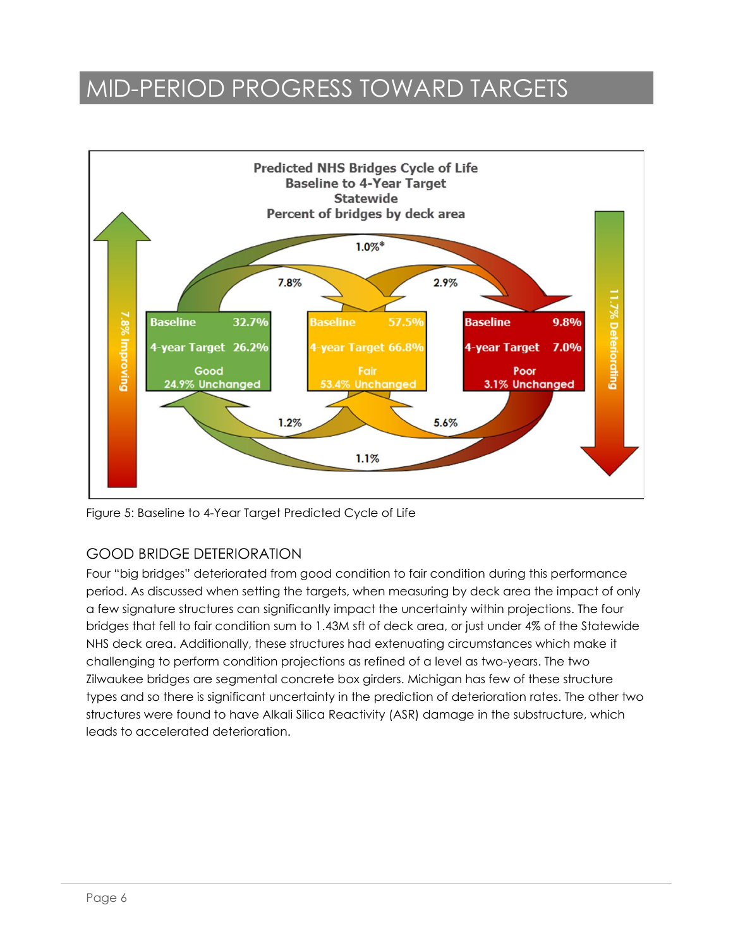### MID-PERIOD PROGRESS TOWARD TARGETS



Figure 5: Baseline to 4-Year Target Predicted Cycle of Life

#### GOOD BRIDGE DETERIORATION

Four "big bridges" deteriorated from good condition to fair condition during this performance period. As discussed when setting the targets, when measuring by deck area the impact of only a few signature structures can significantly impact the uncertainty within projections. The four bridges that fell to fair condition sum to 1.43M sft of deck area, or just under 4% of the Statewide NHS deck area. Additionally, these structures had extenuating circumstances which make it challenging to perform condition projections as refined of a level as two-years. The two Zilwaukee bridges are segmental concrete box girders. Michigan has few of these structure types and so there is significant uncertainty in the prediction of deterioration rates. The other two structures were found to have Alkali Silica Reactivity (ASR) damage in the substructure, which leads to accelerated deterioration.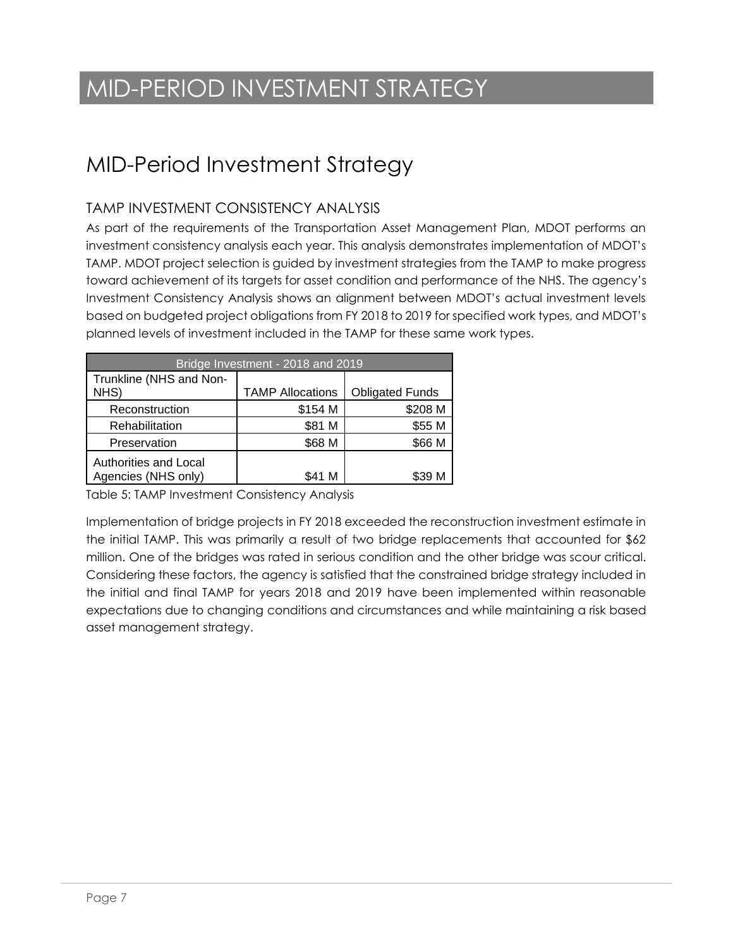# MID-PERIOD INVESTMENT STRATEGY

### MID-Period Investment Strategy

#### TAMP INVESTMENT CONSISTENCY ANALYSIS

As part of the requirements of the Transportation Asset Management Plan, MDOT performs an investment consistency analysis each year. This analysis demonstrates implementation of MDOT's TAMP. MDOT project selection is guided by investment strategies from the TAMP to make progress toward achievement of its targets for asset condition and performance of the NHS. The agency's Investment Consistency Analysis shows an alignment between MDOT's actual investment levels based on budgeted project obligations from FY 2018 to 2019 for specified work types, and MDOT's planned levels of investment included in the TAMP for these same work types.

| Bridge Investment - 2018 and 2019            |                         |                        |  |  |  |  |
|----------------------------------------------|-------------------------|------------------------|--|--|--|--|
| Trunkline (NHS and Non-                      |                         |                        |  |  |  |  |
| NHS)                                         | <b>TAMP Allocations</b> | <b>Obligated Funds</b> |  |  |  |  |
| Reconstruction                               | \$154 M                 | \$208 M                |  |  |  |  |
| Rehabilitation                               | \$81 M                  | \$55 M                 |  |  |  |  |
| Preservation                                 | \$68 M                  | \$66 M                 |  |  |  |  |
| Authorities and Local<br>Agencies (NHS only) | S41 M                   |                        |  |  |  |  |

Table 5: TAMP Investment Consistency Analysis

Implementation of bridge projects in FY 2018 exceeded the reconstruction investment estimate in the initial TAMP. This was primarily a result of two bridge replacements that accounted for \$62 million. One of the bridges was rated in serious condition and the other bridge was scour critical. Considering these factors, the agency is satisfied that the constrained bridge strategy included in the initial and final TAMP for years 2018 and 2019 have been implemented within reasonable expectations due to changing conditions and circumstances and while maintaining a risk based asset management strategy.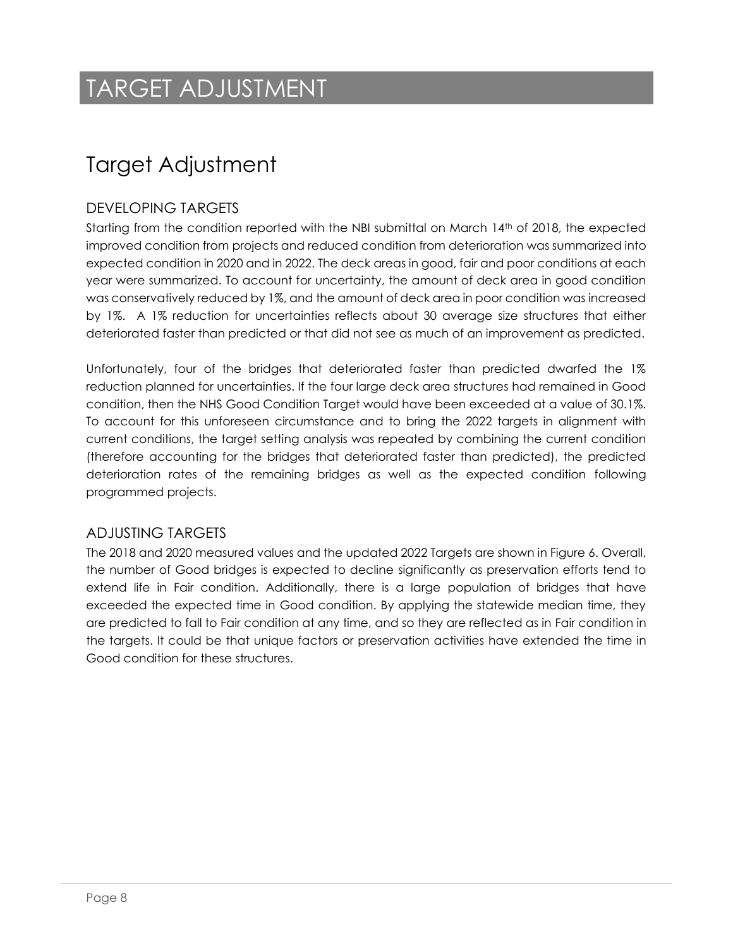### TARGET ADJUSTMENT

### Target Adjustment

#### DEVELOPING TARGETS

Starting from the condition reported with the NBI submittal on March 14th of 2018, the expected improved condition from projects and reduced condition from deterioration was summarized into expected condition in 2020 and in 2022. The deck areas in good, fair and poor conditions at each year were summarized. To account for uncertainty, the amount of deck area in good condition was conservatively reduced by 1%, and the amount of deck area in poor condition was increased by 1%. A 1% reduction for uncertainties reflects about 30 average size structures that either deteriorated faster than predicted or that did not see as much of an improvement as predicted.

Unfortunately, four of the bridges that deteriorated faster than predicted dwarfed the 1% reduction planned for uncertainties. If the four large deck area structures had remained in Good condition, then the NHS Good Condition Target would have been exceeded at a value of 30.1%. To account for this unforeseen circumstance and to bring the 2022 targets in alignment with current conditions, the target setting analysis was repeated by combining the current condition (therefore accounting for the bridges that deteriorated faster than predicted), the predicted deterioration rates of the remaining bridges as well as the expected condition following programmed projects.

#### ADJUSTING TARGETS

The 2018 and 2020 measured values and the updated 2022 Targets are shown in Figure 6. Overall, the number of Good bridges is expected to decline significantly as preservation efforts tend to extend life in Fair condition. Additionally, there is a large population of bridges that have exceeded the expected time in Good condition. By applying the statewide median time, they are predicted to fall to Fair condition at any time, and so they are reflected as in Fair condition in the targets. It could be that unique factors or preservation activities have extended the time in Good condition for these structures.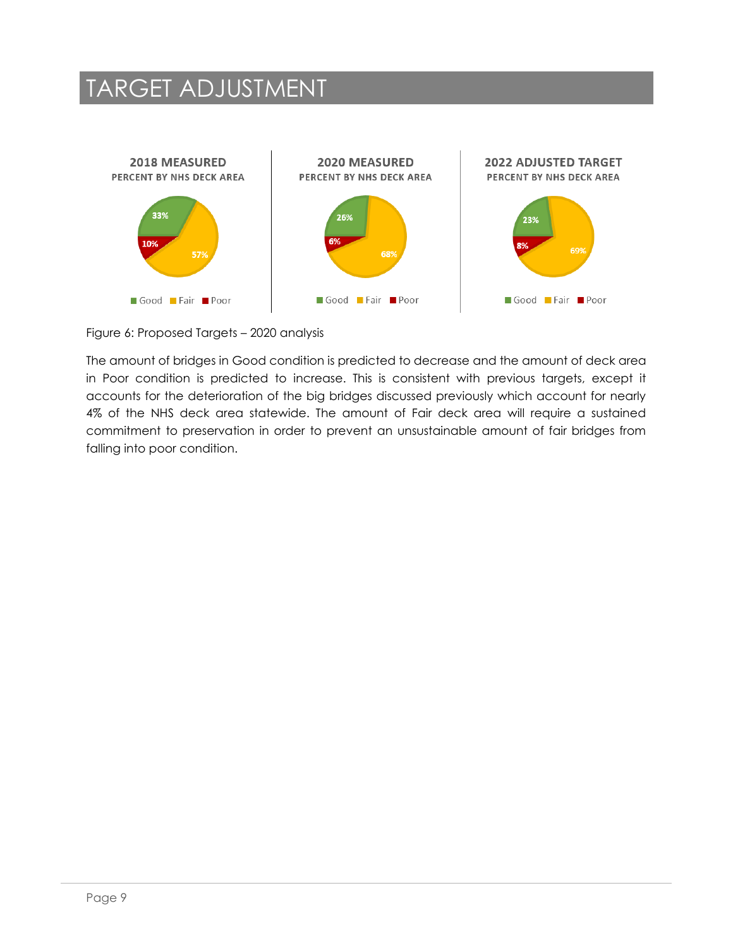### TARGET ADJUSTMENT



Figure 6: Proposed Targets – 2020 analysis

The amount of bridges in Good condition is predicted to decrease and the amount of deck area in Poor condition is predicted to increase. This is consistent with previous targets, except it accounts for the deterioration of the big bridges discussed previously which account for nearly 4% of the NHS deck area statewide. The amount of Fair deck area will require a sustained commitment to preservation in order to prevent an unsustainable amount of fair bridges from falling into poor condition.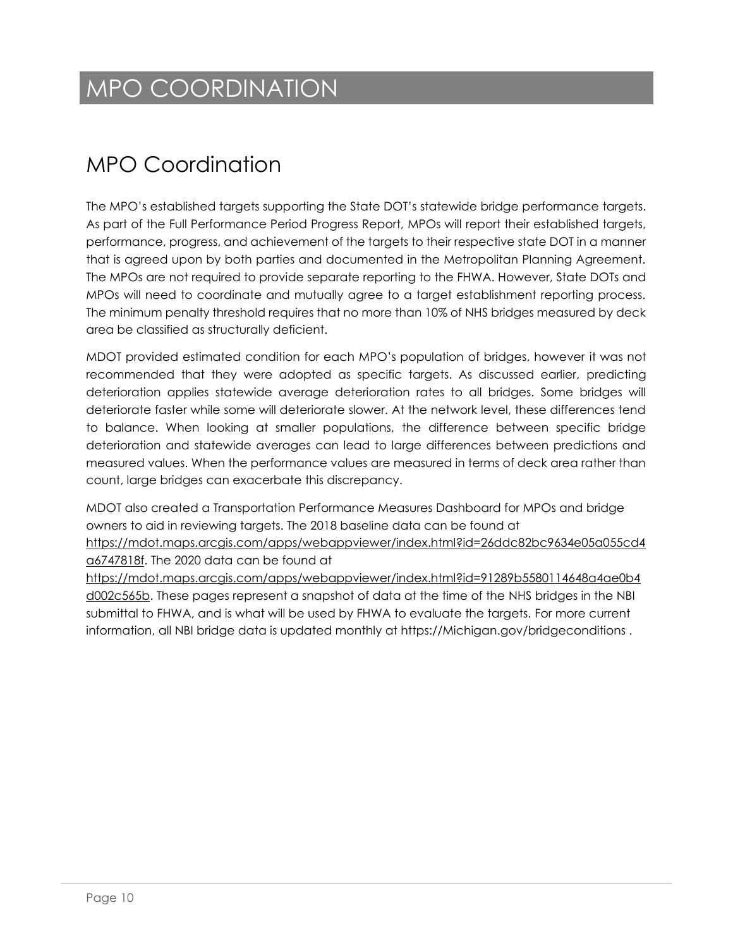# MPO COORDINATION

### MPO Coordination

The MPO's established targets supporting the State DOT's statewide bridge performance targets. As part of the Full Performance Period Progress Report, MPOs will report their established targets, performance, progress, and achievement of the targets to their respective state DOT in a manner that is agreed upon by both parties and documented in the Metropolitan Planning Agreement. The MPOs are not required to provide separate reporting to the FHWA. However, State DOTs and MPOs will need to coordinate and mutually agree to a target establishment reporting process. The minimum penalty threshold requires that no more than 10% of NHS bridges measured by deck area be classified as structurally deficient.

MDOT provided estimated condition for each MPO's population of bridges, however it was not recommended that they were adopted as specific targets. As discussed earlier, predicting deterioration applies statewide average deterioration rates to all bridges. Some bridges will deteriorate faster while some will deteriorate slower. At the network level, these differences tend to balance. When looking at smaller populations, the difference between specific bridge deterioration and statewide averages can lead to large differences between predictions and measured values. When the performance values are measured in terms of deck area rather than count, large bridges can exacerbate this discrepancy.

MDOT also created a Transportation Performance Measures Dashboard for MPOs and bridge owners to aid in reviewing targets. The 2018 baseline data can be found at [https://mdot.maps.arcgis.com/apps/webappviewer/index.html?id=26ddc82bc9634e05a055cd4](https://mdot.maps.arcgis.com/apps/webappviewer/index.html?id=26ddc82bc9634e05a055cd4a6747818f) [a6747818f.](https://mdot.maps.arcgis.com/apps/webappviewer/index.html?id=26ddc82bc9634e05a055cd4a6747818f) The 2020 data can be found at

[https://mdot.maps.arcgis.com/apps/webappviewer/index.html?id=91289b5580114648a4ae0b4](https://mdot.maps.arcgis.com/apps/webappviewer/index.html?id=91289b5580114648a4ae0b4d002c565b) [d002c565b.](https://mdot.maps.arcgis.com/apps/webappviewer/index.html?id=91289b5580114648a4ae0b4d002c565b) These pages represent a snapshot of data at the time of the NHS bridges in the NBI submittal to FHWA, and is what will be used by FHWA to evaluate the targets. For more current information, all NBI bridge data is updated monthly at https://Michigan.gov/bridgeconditions .